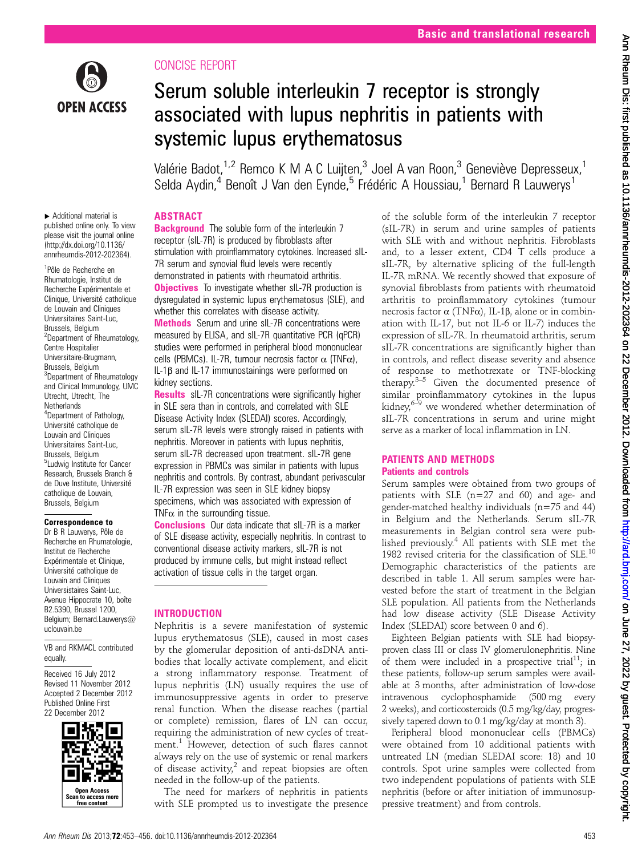

# CONCISE REPORT

# Serum soluble interleukin 7 receptor is strongly associated with lupus nephritis in patients with systemic lupus erythematosus

Valérie Badot,<sup>1,2</sup> Remco K M A C Luijten,<sup>3</sup> Joel A van Roon,<sup>3</sup> Geneviève Depresseux,<sup>1</sup> Selda Aydin,<sup>4</sup> Benoît J Van den Eynde,<sup>5</sup> Frédéric A Houssiau,<sup>1</sup> Bernard R Lauwerys<sup>1</sup>

# ABSTRACT

▸ Additional material is published online only. To view please visit the journal online [\(http://dx.doi.org/10.1136/](http://dx.doi.org/10.1136/annrheumdis-2012-202364) [annrheumdis-2012-202364](http://dx.doi.org/10.1136/annrheumdis-2012-202364)).

1 Pôle de Recherche en Rhumatologie, Institut de Recherche Expérimentale et Clinique, Université catholique de Louvain and Cliniques Universitaires Saint-Luc, Brussels, Belgium <sup>2</sup>Department of Rheumatology, Centre Hospitalier Universitaire-Brugmann, Brussels, Belgium <sup>3</sup>Department of Rheumatology and Clinical Immunology, UMC Utrecht, Utrecht, The **Netherlands** <sup>4</sup>Department of Pathology, Université catholique de Louvain and Cliniques Universitaires Saint-Luc, Brussels, Belgium <sup>5</sup>Ludwig Institute for Cancer Research, Brussels Branch & de Duve Institute, Université catholique de Louvain, Brussels, Belgium

#### Correspondence to

Dr B R Lauwerys, Pôle de Recherche en Rhumatologie, Institut de Recherche Expérimentale et Clinique, Université catholique de Louvain and Cliniques Universistaires Saint-Luc, Avenue Hippocrate 10, boîte B2.5390, Brussel 1200, Belgium; Bernard.Lauwerys@ uclouvain.be

VB and RKMACL contributed equally.

Received 16 July 2012 Revised 11 November 2012 Accepted 2 December 2012 Published Online First 22 December 2012



**Background** The soluble form of the interleukin 7 receptor (sIL-7R) is produced by fibroblasts after stimulation with proinflammatory cytokines. Increased sIL-7R serum and synovial fluid levels were recently demonstrated in patients with rheumatoid arthritis. **Objectives** To investigate whether sIL-7R production is dysregulated in systemic lupus erythematosus (SLE), and whether this correlates with disease activity.

Methods Serum and urine sIL-7R concentrations were measured by ELISA, and sIL-7R quantitative PCR (qPCR) studies were performed in peripheral blood mononuclear cells (PBMCs). IL-7R, tumour necrosis factor  $\alpha$  (TNF $\alpha$ ), IL-1β and IL-17 immunostainings were performed on kidney sections.

**Results** sIL-7R concentrations were significantly higher in SLE sera than in controls, and correlated with SLE Disease Activity Index (SLEDAI) scores. Accordingly, serum sIL-7R levels were strongly raised in patients with nephritis. Moreover in patients with lupus nephritis, serum sIL-7R decreased upon treatment. sIL-7R gene expression in PBMCs was similar in patients with lupus nephritis and controls. By contrast, abundant perivascular IL-7R expression was seen in SLE kidney biopsy specimens, which was associated with expression of TNF $\alpha$  in the surrounding tissue.

Conclusions Our data indicate that sIL-7R is a marker of SLE disease activity, especially nephritis. In contrast to conventional disease activity markers, sIL-7R is not produced by immune cells, but might instead reflect activation of tissue cells in the target organ.

## INTRODUCTION

Nephritis is a severe manifestation of systemic lupus erythematosus (SLE), caused in most cases by the glomerular deposition of anti-dsDNA antibodies that locally activate complement, and elicit a strong inflammatory response. Treatment of lupus nephritis (LN) usually requires the use of immunosuppressive agents in order to preserve renal function. When the disease reaches (partial or complete) remission, flares of LN can occur, requiring the administration of new cycles of treatment.<sup>1</sup> However, detection of such flares cannot always rely on the use of systemic or renal markers of disease activity, $2$  and repeat biopsies are often needed in the follow-up of the patients.

The need for markers of nephritis in patients with SLE prompted us to investigate the presence

of the soluble form of the interleukin 7 receptor (sIL-7R) in serum and urine samples of patients with SLE with and without nephritis. Fibroblasts and, to a lesser extent, CD4 T cells produce a sIL-7R, by alternative splicing of the full-length IL-7R mRNA. We recently showed that exposure of synovial fibroblasts from patients with rheumatoid arthritis to proinflammatory cytokines (tumour necrosis factor α (TNFα), IL-1β, alone or in combination with IL-17, but not IL-6 or IL-7) induces the expression of sIL-7R. In rheumatoid arthritis, serum sIL-7R concentrations are significantly higher than in controls, and reflect disease severity and absence of response to methotrexate or TNF-blocking therapy. $3-5$  Given the documented presence of similar proinflammatory cytokines in the lupus kidney, $6-9$  we wondered whether determination of sIL-7R concentrations in serum and urine might serve as a marker of local inflammation in LN.

## PATIENTS AND METHODS Patients and controls

Serum samples were obtained from two groups of patients with SLE (n=27 and 60) and age- and gender-matched healthy individuals (n=75 and 44) in Belgium and the Netherlands. Serum sIL-7R measurements in Belgian control sera were published previously.<sup>4</sup> All patients with SLE met the 1982 revised criteria for the classification of SLE.10 Demographic characteristics of the patients are described in table 1. All serum samples were harvested before the start of treatment in the Belgian SLE population. All patients from the Netherlands had low disease activity (SLE Disease Activity Index (SLEDAI) score between 0 and 6).

Eighteen Belgian patients with SLE had biopsyproven class III or class IV glomerulonephritis. Nine of them were included in a prospective trial<sup>11</sup>; in these patients, follow-up serum samples were available at 3 months, after administration of low-dose intravenous cyclophosphamide (500 mg every 2 weeks), and corticosteroids (0.5 mg/kg/day, progressively tapered down to 0.1 mg/kg/day at month 3).

Peripheral blood mononuclear cells (PBMCs) were obtained from 10 additional patients with untreated LN (median SLEDAI score: 18) and 10 controls. Spot urine samples were collected from two independent populations of patients with SLE nephritis (before or after initiation of immunosuppressive treatment) and from controls.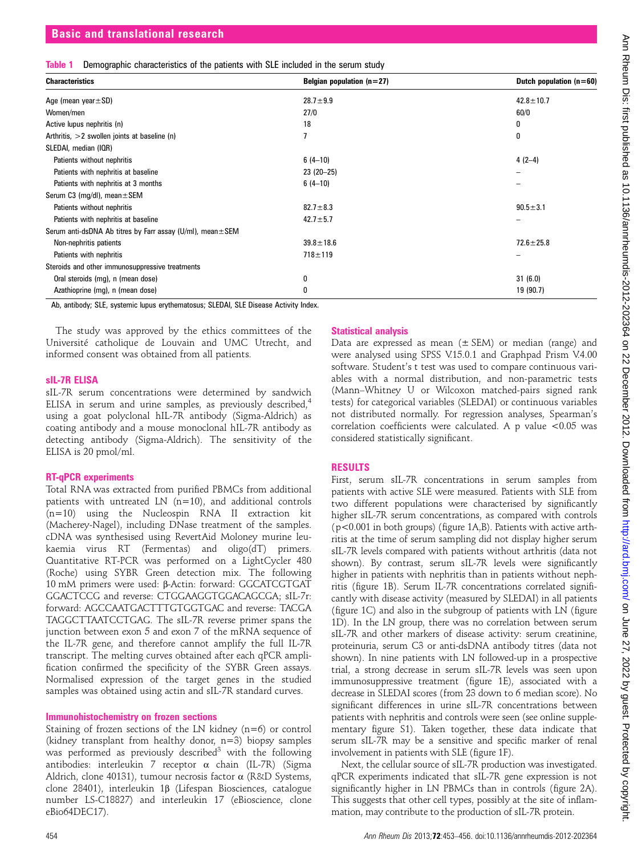|  | Table 1 Demographic characteristics of the patients with SLE included in the serum study |  |  |  |  |  |
|--|------------------------------------------------------------------------------------------|--|--|--|--|--|
|  |                                                                                          |  |  |  |  |  |

| <b>Characteristics</b>                                             | Belgian population $(n=27)$ | Dutch population $(n=60)$ |  |  |
|--------------------------------------------------------------------|-----------------------------|---------------------------|--|--|
| Age (mean year $\pm$ SD)                                           | $28.7 + 9.9$                | $42.8 \pm 10.7$           |  |  |
| Women/men                                                          | 27/0                        | 60/0                      |  |  |
| Active lupus nephritis (n)                                         | 18                          | 0                         |  |  |
| Arthritis, $>2$ swollen joints at baseline (n)                     |                             | 0                         |  |  |
| SLEDAI, median (IQR)                                               |                             |                           |  |  |
| Patients without nephritis                                         | $6(4-10)$                   | $4(2-4)$                  |  |  |
| Patients with nephritis at baseline                                | $23(20-25)$                 | -                         |  |  |
| Patients with nephritis at 3 months                                | $6(4-10)$                   | -                         |  |  |
| Serum C3 (mg/dl), mean $\pm$ SEM                                   |                             |                           |  |  |
| Patients without nephritis                                         | $82.7 \pm 8.3$              | $90.5 \pm 3.1$            |  |  |
| Patients with nephritis at baseline                                | $42.7 \pm 5.7$              |                           |  |  |
| Serum anti-dsDNA Ab titres by Farr assay $(U/mI)$ , mean $\pm$ SEM |                             |                           |  |  |
| Non-nephritis patients                                             | $39.8 \pm 18.6$             | $72.6 \pm 25.8$           |  |  |
| Patients with nephritis                                            | $718 + 119$                 |                           |  |  |
| Steroids and other immunosuppressive treatments                    |                             |                           |  |  |
| Oral steroids (mg), n (mean dose)                                  | 0                           | 31(6.0)                   |  |  |
| Azathioprine (mg), n (mean dose)                                   | 0                           | 19 (90.7)                 |  |  |

Ab, antibody; SLE, systemic lupus erythematosus; SLEDAI, SLE Disease Activity Index.

The study was approved by the ethics committees of the Université catholique de Louvain and UMC Utrecht, and informed consent was obtained from all patients.

#### sIL-7R ELISA

sIL-7R serum concentrations were determined by sandwich ELISA in serum and urine samples, as previously described, $4$ using a goat polyclonal hIL-7R antibody (Sigma-Aldrich) as coating antibody and a mouse monoclonal hIL-7R antibody as detecting antibody (Sigma-Aldrich). The sensitivity of the ELISA is 20 pmol/ml.

#### RT-qPCR experiments

Total RNA was extracted from purified PBMCs from additional patients with untreated LN (n=10), and additional controls (n=10) using the Nucleospin RNA II extraction kit (Macherey-Nagel), including DNase treatment of the samples. cDNA was synthesised using RevertAid Moloney murine leukaemia virus RT (Fermentas) and oligo(dT) primers. Quantitative RT-PCR was performed on a LightCycler 480 (Roche) using SYBR Green detection mix. The following 10 mM primers were used: β-Actin: forward: GGCATCGTGAT GGACTCCG and reverse: CTGGAAGGTGGACAGCGA; sIL-7r: forward: AGCCAATGACTTTGTGGTGAC and reverse: TACGA TAGGCTTAATCCTGAG. The sIL-7R reverse primer spans the junction between exon 5 and exon 7 of the mRNA sequence of the IL-7R gene, and therefore cannot amplify the full IL-7R transcript. The melting curves obtained after each qPCR amplification confirmed the specificity of the SYBR Green assays. Normalised expression of the target genes in the studied samples was obtained using actin and sIL-7R standard curves.

## Immunohistochemistry on frozen sections

Staining of frozen sections of the LN kidney (n=6) or control (kidney transplant from healthy donor, n=3) biopsy samples was performed as previously described<sup>3</sup> with the following antibodies: interleukin 7 receptor α chain (IL-7R) (Sigma Aldrich, clone 40131), tumour necrosis factor α (R&D Systems, clone 28401), interleukin 1β (Lifespan Biosciences, catalogue number LS-C18827) and interleukin 17 (eBioscience, clone eBio64DEC17).

## Statistical analysis

Data are expressed as mean  $(\pm$  SEM) or median (range) and were analysed using SPSS V.15.0.1 and Graphpad Prism V.4.00 software. Student's t test was used to compare continuous variables with a normal distribution, and non-parametric tests (Mann–Whitney U or Wilcoxon matched-pairs signed rank tests) for categorical variables (SLEDAI) or continuous variables not distributed normally. For regression analyses, Spearman's correlation coefficients were calculated. A p value <0.05 was considered statistically significant.

# RESULTS

First, serum sIL-7R concentrations in serum samples from patients with active SLE were measured. Patients with SLE from two different populations were characterised by significantly higher sIL-7R serum concentrations, as compared with controls (p<0.001 in both groups) (figure 1A,B). Patients with active arthritis at the time of serum sampling did not display higher serum sIL-7R levels compared with patients without arthritis (data not shown). By contrast, serum sIL-7R levels were significantly higher in patients with nephritis than in patients without nephritis (figure 1B). Serum IL-7R concentrations correlated significantly with disease activity (measured by SLEDAI) in all patients (figure 1C) and also in the subgroup of patients with LN (figure 1D). In the LN group, there was no correlation between serum sIL-7R and other markers of disease activity: serum creatinine, proteinuria, serum C3 or anti-dsDNA antibody titres (data not shown). In nine patients with LN followed-up in a prospective trial, a strong decrease in serum sIL-7R levels was seen upon immunosuppressive treatment (figure 1E), associated with a decrease in SLEDAI scores (from 23 down to 6 median score). No significant differences in urine sIL-7R concentrations between patients with nephritis and controls were seen (see online supplementary figure S1). Taken together, these data indicate that serum sIL-7R may be a sensitive and specific marker of renal involvement in patients with SLE (figure 1F).

Next, the cellular source of sIL-7R production was investigated. qPCR experiments indicated that sIL-7R gene expression is not significantly higher in LN PBMCs than in controls (figure 2A). This suggests that other cell types, possibly at the site of inflammation, may contribute to the production of sIL-7R protein.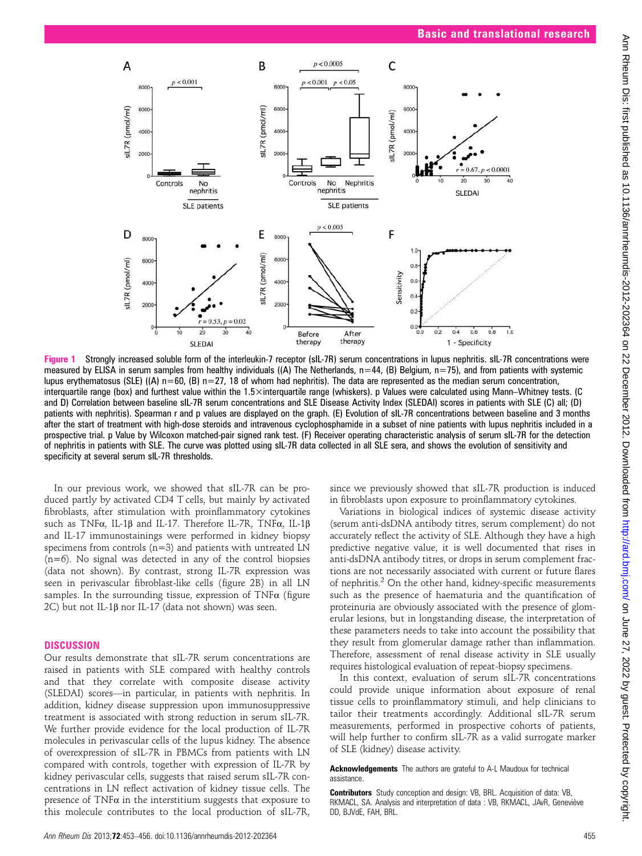

Figure 1 Strongly increased soluble form of the interleukin-7 receptor (sIL-7R) serum concentrations in lupus nephritis. sIL-7R concentrations were measured by ELISA in serum samples from healthy individuals ((A) The Netherlands,  $n=44$ , (B) Belgium,  $n=75$ ), and from patients with systemic lupus erythematosus (SLE) ((A)  $n=60$ , (B)  $n=27$ , 18 of whom had nephritis). The data are represented as the median serum concentration, interquartile range (box) and furthest value within the 1.5×interquartile range (whiskers). p Values were calculated using Mann–Whitney tests. (C and D) Correlation between baseline sIL-7R serum concentrations and SLE Disease Activity Index (SLEDAI) scores in patients with SLE (C) all; (D) patients with nephritis). Spearman r and p values are displayed on the graph. (E) Evolution of sIL-7R concentrations between baseline and 3 months after the start of treatment with high-dose steroids and intravenous cyclophosphamide in a subset of nine patients with lupus nephritis included in a prospective trial. p Value by Wilcoxon matched-pair signed rank test. (F) Receiver operating characteristic analysis of serum sIL-7R for the detection of nephritis in patients with SLE. The curve was plotted using sIL-7R data collected in all SLE sera, and shows the evolution of sensitivity and specificity at several serum sIL-7R thresholds.

In our previous work, we showed that sIL-7R can be produced partly by activated CD4 T cells, but mainly by activated fibroblasts, after stimulation with proinflammatory cytokines such as TNFα, IL-1β and IL-17. Therefore IL-7R, TNFα, IL-1β and IL-17 immunostainings were performed in kidney biopsy specimens from controls (n=3) and patients with untreated LN (n=6). No signal was detected in any of the control biopsies (data not shown). By contrast, strong IL-7R expression was seen in perivascular fibroblast-like cells (figure 2B) in all LN samples. In the surrounding tissue, expression of  $TNF\alpha$  (figure 2C) but not IL-1β nor IL-17 (data not shown) was seen.

## **DISCUSSION**

Our results demonstrate that sIL-7R serum concentrations are raised in patients with SLE compared with healthy controls and that they correlate with composite disease activity (SLEDAI) scores—in particular, in patients with nephritis. In addition, kidney disease suppression upon immunosuppressive treatment is associated with strong reduction in serum sIL-7R. We further provide evidence for the local production of IL-7R molecules in perivascular cells of the lupus kidney. The absence of overexpression of sIL-7R in PBMCs from patients with LN compared with controls, together with expression of IL-7R by kidney perivascular cells, suggests that raised serum sIL-7R concentrations in LN reflect activation of kidney tissue cells. The presence of  $TNF\alpha$  in the interstitium suggests that exposure to this molecule contributes to the local production of sIL-7R,

In this context, evaluation of serum sIL-7R concentrations

could provide unique information about exposure of renal tissue cells to proinflammatory stimuli, and help clinicians to tailor their treatments accordingly. Additional sIL-7R serum measurements, performed in prospective cohorts of patients, will help further to confirm sIL-7R as a valid surrogate marker of SLE (kidney) disease activity.

since we previously showed that sIL-7R production is induced in fibroblasts upon exposure to proinflammatory cytokines. Variations in biological indices of systemic disease activity (serum anti-dsDNA antibody titres, serum complement) do not accurately reflect the activity of SLE. Although they have a high predictive negative value, it is well documented that rises in anti-dsDNA antibody titres, or drops in serum complement fractions are not necessarily associated with current or future flares of nephritis.<sup>2</sup> On the other hand, kidney-specific measurements such as the presence of haematuria and the quantification of proteinuria are obviously associated with the presence of glomerular lesions, but in longstanding disease, the interpretation of these parameters needs to take into account the possibility that they result from glomerular damage rather than inflammation. Therefore, assessment of renal disease activity in SLE usually requires histological evaluation of repeat-biopsy specimens.

#### Acknowledgements The authors are grateful to A-L Maudoux for technical assistance.

Contributors Study conception and design: VB, BRL. Acquisition of data: VB, RKMACL, SA. Analysis and interpretation of data : VB, RKMACL, JAvR, Geneviève DD, BJVdE, FAH, BRL.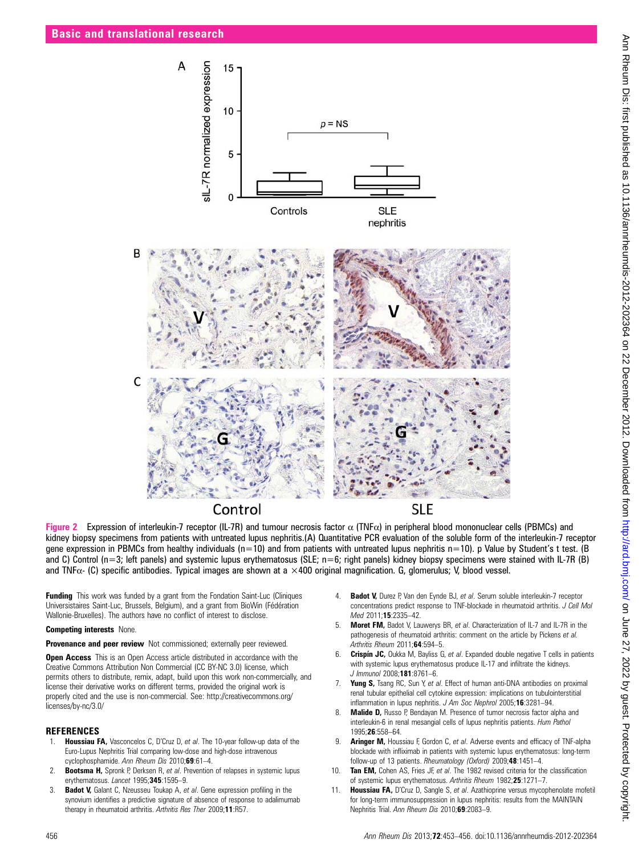

Figure 2 Expression of interleukin-7 receptor (IL-7R) and tumour necrosis factor  $α$  (TNF $α$ ) in peripheral blood mononuclear cells (PBMCs) and kidney biopsy specimens from patients with untreated lupus nephritis.(A) Quantitative PCR evaluation of the soluble form of the interleukin-7 receptor gene expression in PBMCs from healthy individuals ( $n=10$ ) and from patients with untreated lupus nephritis  $n=10$ ). p Value by Student's t test. (B) and C) Control (n=3; left panels) and systemic lupus erythematosus (SLE; n=6; right panels) kidney biopsy specimens were stained with IL-7R (B) and TNF $\alpha$ - (C) specific antibodies. Typical images are shown at a  $\times$ 400 original magnification. G, glomerulus; V, blood vessel.

Funding This work was funded by a grant from the Fondation Saint-Luc (Cliniques Universistaires Saint-Luc, Brussels, Belgium), and a grant from BioWin (Fédération Wallonie-Bruxelles). The authors have no conflict of interest to disclose.

#### Competing interests None.

Provenance and peer review Not commissioned; externally peer reviewed.

**Open Access** This is an Open Access article distributed in accordance with the Creative Commons Attribution Non Commercial (CC BY-NC 3.0) license, which permits others to distribute, remix, adapt, build upon this work non-commercially, and license their derivative works on different terms, provided the original work is properly cited and the use is non-commercial. See: http://creativecommons.org/ licenses/by-nc/3.0/

#### **REFERENCES**

- Houssiau FA, Vasconcelos C, D'Cruz D, et al. The 10-year follow-up data of the Euro-Lupus Nephritis Trial comparing low-dose and high-dose intravenous cyclophosphamide. Ann Rheum Dis 2010;69:61-4.
- 2. **Bootsma H,** Spronk P, Derksen R, et al. Prevention of relapses in systemic lupus erythematosus. Lancet 1995;345:1595-9.
- 3. Badot V, Galant C, Nzeusseu Toukap A, et al. Gene expression profiling in the synovium identifies a predictive signature of absence of response to adalimumab therapy in rheumatoid arthritis. Arthritis Res Ther 2009;11:R57.
- Badot V, Durez P, Van den Eynde BJ, et al. Serum soluble interleukin-7 receptor concentrations predict response to TNF-blockade in rheumatoid arthritis. J Cell Mol Med 2011;15:2335-42.
- 5. **Moret FM,** Badot V, Lauwerys BR, et al. Characterization of IL-7 and IL-7R in the pathogenesis of rheumatoid arthritis: comment on the article by Pickens et al. Arthritis Rheum 2011;64:594-5.
- 6. Crispín JC, Oukka M, Bayliss G, et al. Expanded double negative T cells in patients with systemic lupus erythematosus produce IL-17 and infiltrate the kidneys. J Immunol 2008;181:8761–6.
- 7. Yung S, Tsang RC, Sun Y, et al. Effect of human anti-DNA antibodies on proximal renal tubular epithelial cell cytokine expression: implications on tubulointerstitial inflammation in lupus nephritis. J Am Soc Nephrol 2005;16:3281–94.
- 8. **Malide D, Russo P, Bendayan M. Presence of tumor necrosis factor alpha and** interleukin-6 in renal mesangial cells of lupus nephritis patients. Hum Pathol 1995;26:558–64.
- 9. **Aringer M, Houssiau F, Gordon C, et al. Adverse events and efficacy of TNF-alpha** blockade with infliximab in patients with systemic lupus erythematosus: long-term follow-up of 13 patients. Rheumatology (Oxford) 2009;48:1451-4.
- 10. Tan EM, Cohen AS, Fries JF, et al. The 1982 revised criteria for the classification of systemic lupus erythematosus. Arthritis Rheum 1982;25:1271–7.
- Houssiau FA, D'Cruz D, Sangle S, et al. Azathioprine versus mycophenolate mofetil for long-term immunosuppression in lupus nephritis: results from the MAINTAIN Nephritis Trial. Ann Rheum Dis 2010;69:2083–9.